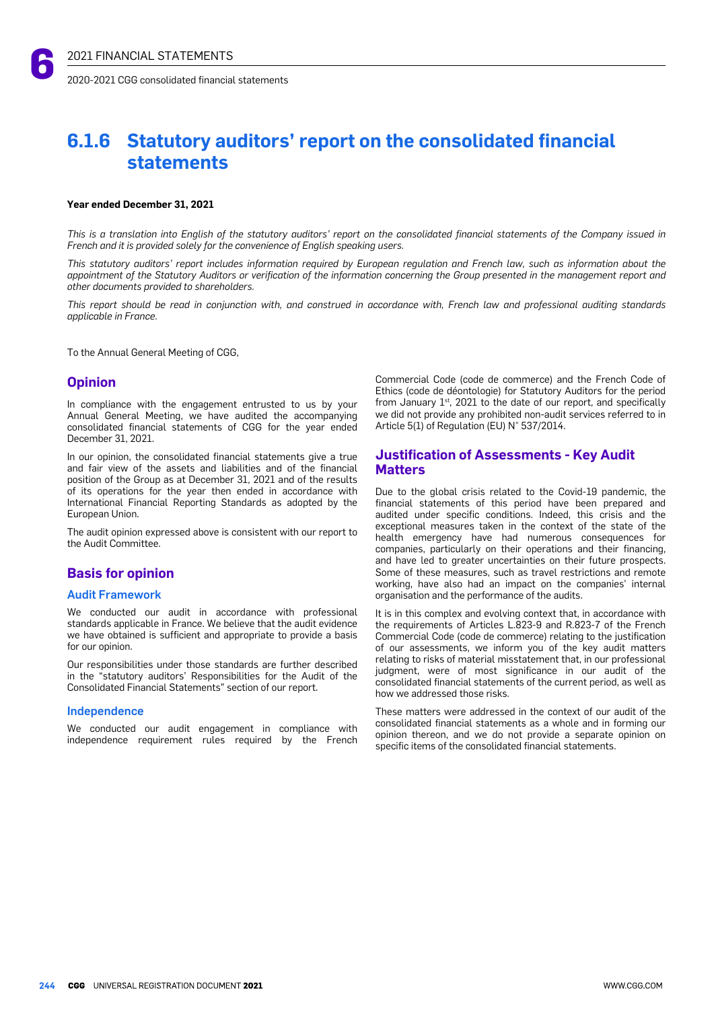# **6.1.6 Statutory auditors' report on the consolidated financial statements**

#### **Year ended December 31, 2021**

This is a translation into English of the statutory auditors' report on the consolidated financial statements of the Company issued in *French and it is provided solely for the convenience of English speaking users.*

This statutory auditors' report includes information required by European regulation and French law, such as information about the appointment of the Statutory Auditors or verification of the information concerning the Group presented in the management report and *other documents provided to shareholders.*

This report should be read in conjunction with, and construed in accordance with, French law and professional auditing standards *applicable in France.*

To the Annual General Meeting of CGG,

# **Opinion**

In compliance with the engagement entrusted to us by your Annual General Meeting, we have audited the accompanying consolidated financial statements of CGG for the year ended December 31, 2021.

In our opinion, the consolidated financial statements give a true and fair view of the assets and liabilities and of the financial position of the Group as at December 31, 2021 and of the results of its operations for the year then ended in accordance with International Financial Reporting Standards as adopted by the European Union.

The audit opinion expressed above is consistent with our report to the Audit Committee.

# **Basis for opinion**

## Audit Framework

We conducted our audit in accordance with professional standards applicable in France. We believe that the audit evidence we have obtained is sufficient and appropriate to provide a basis for our opinion.

Our responsibilities under those standards are further described in the "statutory auditors' Responsibilities for the Audit of the Consolidated Financial Statements" section of our report.

#### Independence

We conducted our audit engagement in compliance with independence requirement rules required by the French

Commercial Code (code de commerce) and the French Code of Ethics (code de déontologie) for Statutory Auditors for the period from January  $1<sup>st</sup>$ , 2021 to the date of our report, and specifically we did not provide any prohibited non-audit services referred to in Article 5(1) of Regulation (EU) N° 537/2014.

# **Justification of Assessments - Key Audit Matters**

Due to the global crisis related to the Covid-19 pandemic, the financial statements of this period have been prepared and audited under specific conditions. Indeed, this crisis and the exceptional measures taken in the context of the state of the health emergency have had numerous consequences for companies, particularly on their operations and their financing, and have led to greater uncertainties on their future prospects. Some of these measures, such as travel restrictions and remote working, have also had an impact on the companies' internal organisation and the performance of the audits.

It is in this complex and evolving context that, in accordance with the requirements of Articles L.823-9 and R.823-7 of the French Commercial Code (code de commerce) relating to the justification of our assessments, we inform you of the key audit matters relating to risks of material misstatement that, in our professional judgment, were of most significance in our audit of the consolidated financial statements of the current period, as well as how we addressed those risks.

These matters were addressed in the context of our audit of the consolidated financial statements as a whole and in forming our opinion thereon, and we do not provide a separate opinion on specific items of the consolidated financial statements.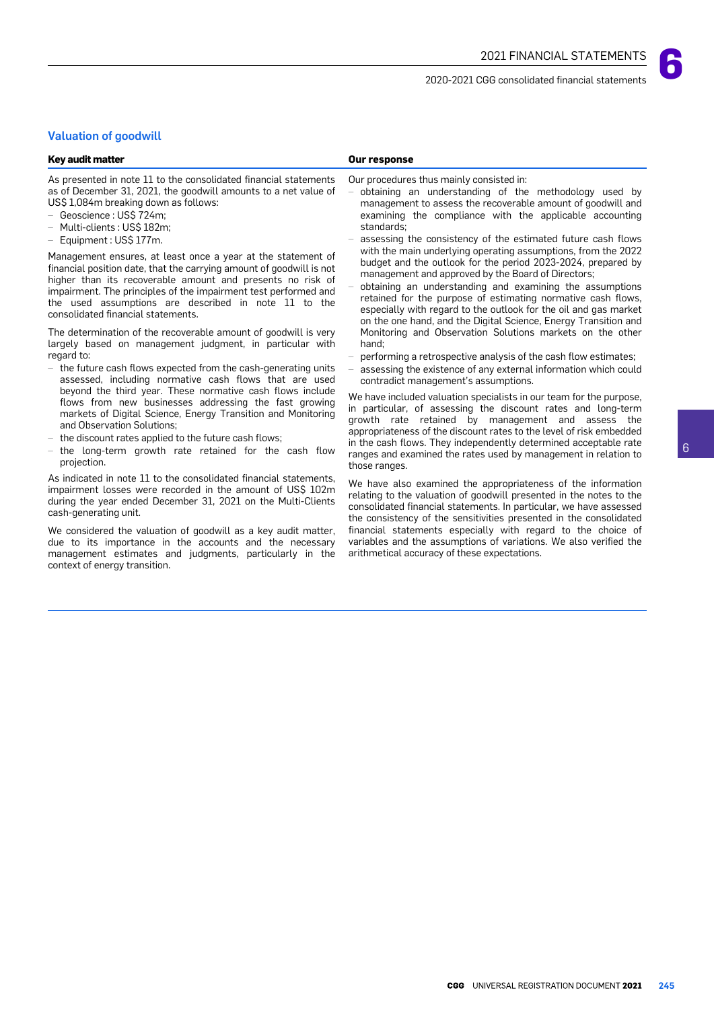# Valuation of goodwill

#### **Key audit matter Our response**

As presented in note 11 to the consolidated financial statements as of December 31, 2021, the goodwill amounts to a net value of US\$ 1,084m breaking down as follows:

- Geoscience : US\$ 724m;
- Multi-clients : US\$ 182m;
- Equipment : US\$ 177m.

Management ensures, at least once a year at the statement of financial position date, that the carrying amount of goodwill is not higher than its recoverable amount and presents no risk of impairment. The principles of the impairment test performed and the used assumptions are described in note 11 to the consolidated financial statements.

The determination of the recoverable amount of goodwill is very largely based on management judgment, in particular with regard to:

- the future cash flows expected from the cash-generating units assessed, including normative cash flows that are used beyond the third year. These normative cash flows include flows from new businesses addressing the fast growing markets of Digital Science, Energy Transition and Monitoring and Observation Solutions;
- the discount rates applied to the future cash flows:
- the long-term growth rate retained for the cash flow projection.

As indicated in note 11 to the consolidated financial statements, impairment losses were recorded in the amount of US\$ 102m during the year ended December 31, 2021 on the Multi-Clients cash-generating unit.

We considered the valuation of goodwill as a key audit matter, due to its importance in the accounts and the necessary management estimates and judgments, particularly in the context of energy transition.

Our procedures thus mainly consisted in:

- obtaining an understanding of the methodology used by management to assess the recoverable amount of goodwill and examining the compliance with the applicable accounting standards;
- assessing the consistency of the estimated future cash flows with the main underlying operating assumptions, from the 2022 budget and the outlook for the period 2023-2024, prepared by management and approved by the Board of Directors;
- obtaining an understanding and examining the assumptions retained for the purpose of estimating normative cash flows, especially with regard to the outlook for the oil and gas market on the one hand, and the Digital Science, Energy Transition and Monitoring and Observation Solutions markets on the other hand;
- performing a retrospective analysis of the cash flow estimates;
- assessing the existence of any external information which could contradict management's assumptions.

We have included valuation specialists in our team for the purpose, in particular, of assessing the discount rates and long-term growth rate retained by management and assess the appropriateness of the discount rates to the level of risk embedded in the cash flows. They independently determined acceptable rate ranges and examined the rates used by management in relation to those ranges.

We have also examined the appropriateness of the information relating to the valuation of goodwill presented in the notes to the consolidated financial statements. In particular, we have assessed the consistency of the sensitivities presented in the consolidated financial statements especially with regard to the choice of variables and the assumptions of variations. We also verified the arithmetical accuracy of these expectations.

**6**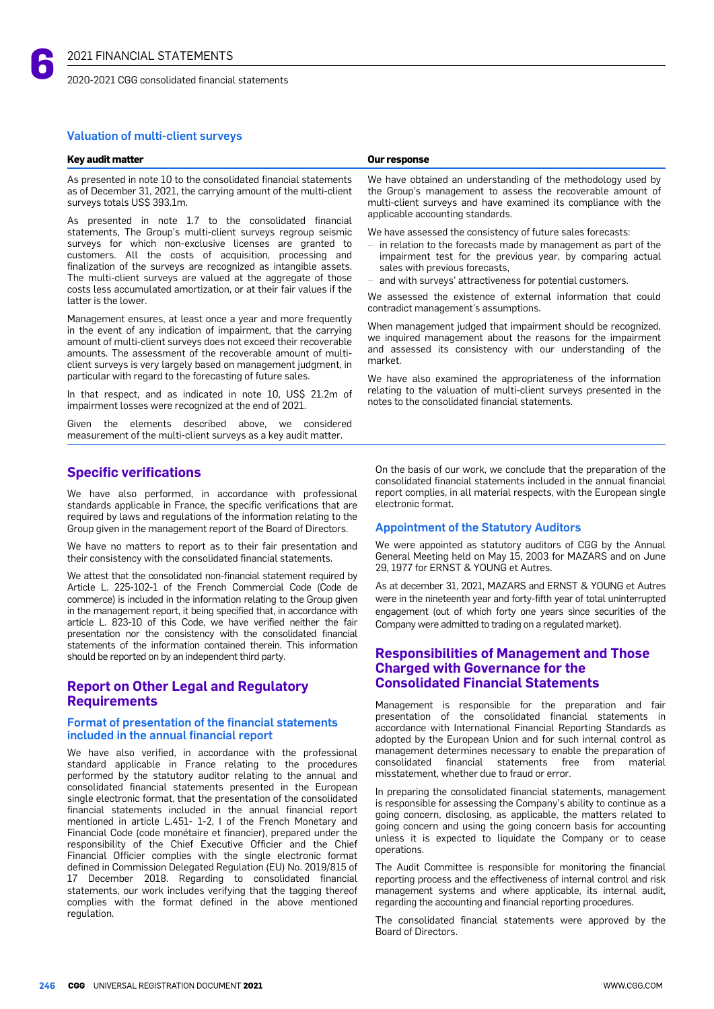

2020-2021 CGG consolidated financial statements

## Valuation of multi-client surveys

#### **Key audit matter Our response**

As presented in note 10 to the consolidated financial statements as of December 31, 2021, the carrying amount of the multi-client surveys totals US\$ 393.1m.

As presented in note 1.7 to the consolidated financial statements, The Group's multi-client surveys regroup seismic surveys for which non-exclusive licenses are granted to customers. All the costs of acquisition, processing and finalization of the surveys are recognized as intangible assets. The multi-client surveys are valued at the aggregate of those costs less accumulated amortization, or at their fair values if the latter is the lower.

Management ensures, at least once a year and more frequently in the event of any indication of impairment, that the carrying amount of multi-client surveys does not exceed their recoverable amounts. The assessment of the recoverable amount of multiclient surveys is very largely based on management judgment, in particular with regard to the forecasting of future sales.

In that respect, and as indicated in note 10, US\$ 21.2m of impairment losses were recognized at the end of 2021.

Given the elements described above, we considered measurement of the multi-client surveys as a key audit matter.

# **Specific verifications**

We have also performed, in accordance with professional standards applicable in France, the specific verifications that are required by laws and regulations of the information relating to the Group given in the management report of the Board of Directors.

We have no matters to report as to their fair presentation and their consistency with the consolidated financial statements.

We attest that the consolidated non-financial statement required by Article L. 225-102-1 of the French Commercial Code (Code de commerce) is included in the information relating to the Group given in the management report, it being specified that, in accordance with article L. 823-10 of this Code, we have verified neither the fair presentation nor the consistency with the consolidated financial statements of the information contained therein. This information should be reported on by an independent third party.

# **Report on Other Legal and Regulatory Requirements**

## Format of presentation of the financial statements included in the annual financial report

We have also verified, in accordance with the professional standard applicable in France relating to the procedures performed by the statutory auditor relating to the annual and consolidated financial statements presented in the European single electronic format, that the presentation of the consolidated financial statements included in the annual financial report mentioned in article L.451- 1-2, I of the French Monetary and Financial Code (code monétaire et financier), prepared under the responsibility of the Chief Executive Officier and the Chief Financial Officier complies with the single electronic format defined in Commission Delegated Regulation (EU) No. 2019/815 of 17 December 2018. Regarding to consolidated financial statements, our work includes verifying that the tagging thereof complies with the format defined in the above mentioned regulation.

We have obtained an understanding of the methodology used by the Group's management to assess the recoverable amount of multi-client surveys and have examined its compliance with the applicable accounting standards.

We have assessed the consistency of future sales forecasts:

- in relation to the forecasts made by management as part of the impairment test for the previous year, by comparing actual sales with previous forecasts,
- and with surveys' attractiveness for potential customers.

We assessed the existence of external information that could contradict management's assumptions.

When management judged that impairment should be recognized, we inquired management about the reasons for the impairment and assessed its consistency with our understanding of the market.

We have also examined the appropriateness of the information relating to the valuation of multi-client surveys presented in the notes to the consolidated financial statements.

On the basis of our work, we conclude that the preparation of the consolidated financial statements included in the annual financial report complies, in all material respects, with the European single electronic format.

## Appointment of the Statutory Auditors

We were appointed as statutory auditors of CGG by the Annual General Meeting held on May 15, 2003 for MAZARS and on June 29, 1977 for ERNST & YOUNG et Autres.

As at december 31, 2021, MAZARS and ERNST & YOUNG et Autres were in the nineteenth year and forty-fifth year of total uninterrupted engagement (out of which forty one years since securities of the Company were admitted to trading on a regulated market).

# **Responsibilities of Management and Those Charged with Governance for the Consolidated Financial Statements**

Management is responsible for the preparation and fair presentation of the consolidated financial statements in accordance with International Financial Reporting Standards as adopted by the European Union and for such internal control as management determines necessary to enable the preparation of consolidated financial statements free from material misstatement, whether due to fraud or error.

In preparing the consolidated financial statements, management is responsible for assessing the Company's ability to continue as a going concern, disclosing, as applicable, the matters related to going concern and using the going concern basis for accounting unless it is expected to liquidate the Company or to cease operations.

The Audit Committee is responsible for monitoring the financial reporting process and the effectiveness of internal control and risk management systems and where applicable, its internal audit, regarding the accounting and financial reporting procedures.

The consolidated financial statements were approved by the Board of Directors.